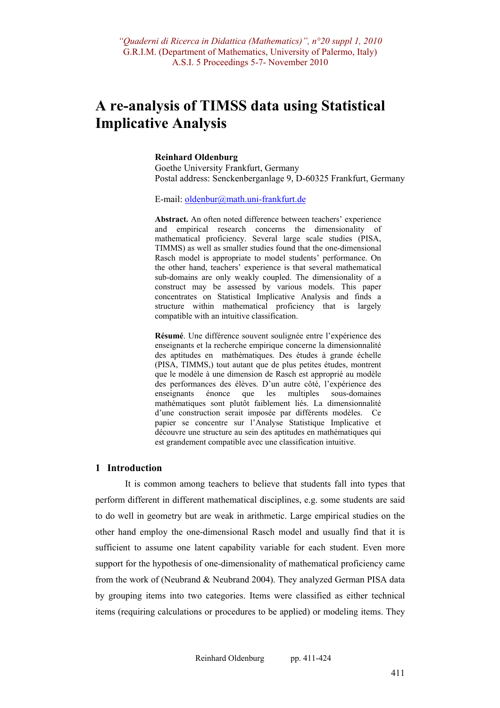# **A re-analysis of TIMSS data using Statistical Implicative Analysis**

#### **Reinhard Oldenburg**

Goethe University Frankfurt, Germany Postal address: Senckenberganlage 9, D-60325 Frankfurt, Germany

E-mail: oldenbur@math.uni-frankfurt.de

**Abstract.** An often noted difference between teachers' experience and empirical research concerns the dimensionality of mathematical proficiency. Several large scale studies (PISA, TIMMS) as well as smaller studies found that the one-dimensional Rasch model is appropriate to model students' performance. On the other hand, teachers' experience is that several mathematical sub-domains are only weakly coupled. The dimensionality of a construct may be assessed by various models. This paper concentrates on Statistical Implicative Analysis and finds a structure within mathematical proficiency that is largely compatible with an intuitive classification.

**Résumé**. Une différence souvent soulignée entre l'expérience des enseignants et la recherche empirique concerne la dimensionnalité des aptitudes en mathématiques. Des études à grande échelle (PISA, TIMMS,) tout autant que de plus petites études, montrent que le modèle à une dimension de Rasch est approprié au modèle des performances des élèves. D'un autre côté, l'expérience des enseignants énonce que les multiples sous-domaines mathématiques sont plutôt faiblement liés. La dimensionnalité d'une construction serait imposée par différents modèles. Ce papier se concentre sur l'Analyse Statistique Implicative et découvre une structure au sein des aptitudes en mathématiques qui est grandement compatible avec une classification intuitive.

#### **1 Introduction**

It is common among teachers to believe that students fall into types that perform different in different mathematical disciplines, e.g. some students are said to do well in geometry but are weak in arithmetic. Large empirical studies on the other hand employ the one-dimensional Rasch model and usually find that it is sufficient to assume one latent capability variable for each student. Even more support for the hypothesis of one-dimensionality of mathematical proficiency came from the work of (Neubrand & Neubrand 2004). They analyzed German PISA data by grouping items into two categories. Items were classified as either technical items (requiring calculations or procedures to be applied) or modeling items. They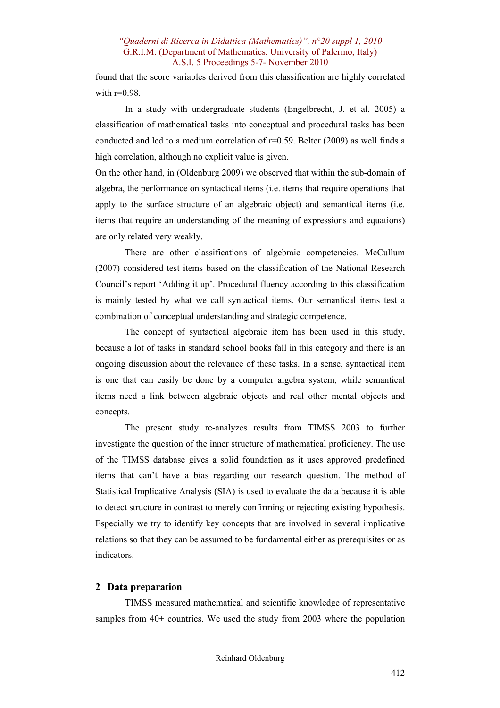found that the score variables derived from this classification are highly correlated with  $r=0.98$ .

In a study with undergraduate students (Engelbrecht, J. et al. 2005) a classification of mathematical tasks into conceptual and procedural tasks has been conducted and led to a medium correlation of  $r=0.59$ . Belter (2009) as well finds a high correlation, although no explicit value is given.

On the other hand, in (Oldenburg 2009) we observed that within the sub-domain of algebra, the performance on syntactical items (i.e. items that require operations that apply to the surface structure of an algebraic object) and semantical items (i.e. items that require an understanding of the meaning of expressions and equations) are only related very weakly.

There are other classifications of algebraic competencies. McCullum (2007) considered test items based on the classification of the National Research Council's report 'Adding it up'. Procedural fluency according to this classification is mainly tested by what we call syntactical items. Our semantical items test a combination of conceptual understanding and strategic competence.

The concept of syntactical algebraic item has been used in this study, because a lot of tasks in standard school books fall in this category and there is an ongoing discussion about the relevance of these tasks. In a sense, syntactical item is one that can easily be done by a computer algebra system, while semantical items need a link between algebraic objects and real other mental objects and concepts.

The present study re-analyzes results from TIMSS 2003 to further investigate the question of the inner structure of mathematical proficiency. The use of the TIMSS database gives a solid foundation as it uses approved predefined items that can't have a bias regarding our research question. The method of Statistical Implicative Analysis (SIA) is used to evaluate the data because it is able to detect structure in contrast to merely confirming or rejecting existing hypothesis. Especially we try to identify key concepts that are involved in several implicative relations so that they can be assumed to be fundamental either as prerequisites or as indicators.

#### **2 Data preparation**

TIMSS measured mathematical and scientific knowledge of representative samples from 40+ countries. We used the study from 2003 where the population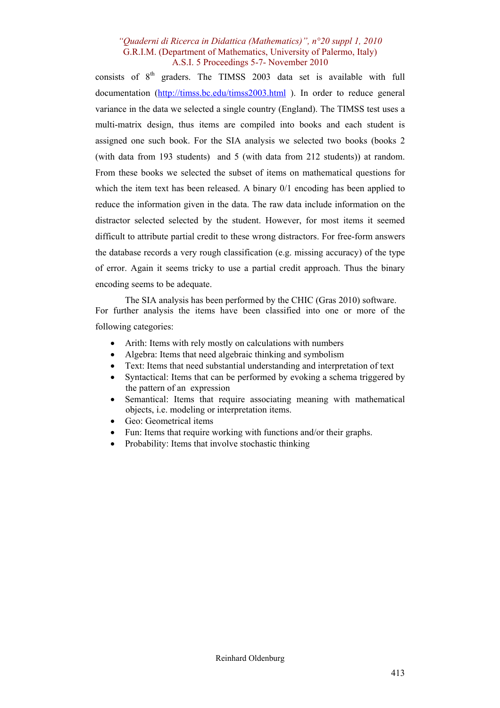consists of 8<sup>th</sup> graders. The TIMSS 2003 data set is available with full documentation (http://timss.bc.edu/timss2003.html ). In order to reduce general variance in the data we selected a single country (England). The TIMSS test uses a multi-matrix design, thus items are compiled into books and each student is assigned one such book. For the SIA analysis we selected two books (books 2 (with data from 193 students) and 5 (with data from 212 students)) at random. From these books we selected the subset of items on mathematical questions for which the item text has been released. A binary  $0/1$  encoding has been applied to reduce the information given in the data. The raw data include information on the distractor selected selected by the student. However, for most items it seemed difficult to attribute partial credit to these wrong distractors. For free-form answers the database records a very rough classification (e.g. missing accuracy) of the type of error. Again it seems tricky to use a partial credit approach. Thus the binary encoding seems to be adequate.

The SIA analysis has been performed by the CHIC (Gras 2010) software. For further analysis the items have been classified into one or more of the following categories:

- Arith: Items with rely mostly on calculations with numbers
- Algebra: Items that need algebraic thinking and symbolism
- Text: Items that need substantial understanding and interpretation of text
- Syntactical: Items that can be performed by evoking a schema triggered by the pattern of an expression
- Semantical: Items that require associating meaning with mathematical objects, i.e. modeling or interpretation items.
- Geo: Geometrical items
- Fun: Items that require working with functions and/or their graphs.
- Probability: Items that involve stochastic thinking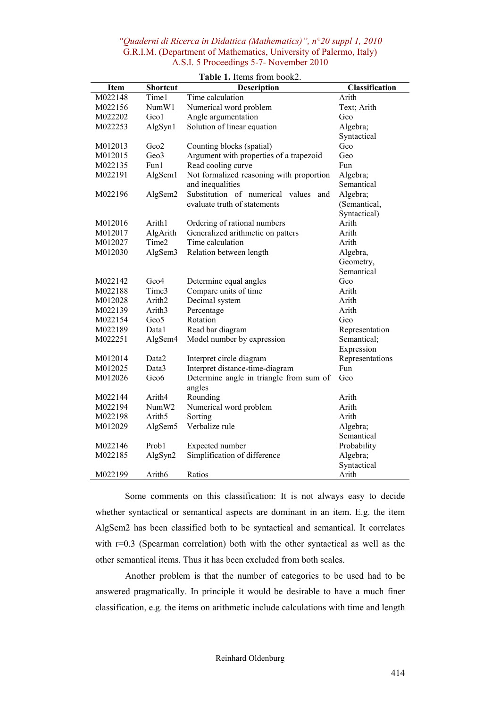| Item    | Shortcut           | <b>Description</b>                                | Classification  |
|---------|--------------------|---------------------------------------------------|-----------------|
| M022148 | Time1              | Time calculation                                  | Arith           |
| M022156 | NumW1              | Numerical word problem                            | Text; Arith     |
| M022202 | Geo1               | Angle argumentation                               | Geo             |
| M022253 | AlgSyn1            | Solution of linear equation                       | Algebra;        |
|         |                    |                                                   | Syntactical     |
| M012013 | Geo2               | Counting blocks (spatial)                         | Geo             |
| M012015 | Geo3               | Argument with properties of a trapezoid           | Geo             |
| M022135 | Fun1               | Read cooling curve                                | Fun             |
| M022191 | AlgSem1            | Not formalized reasoning with proportion          | Algebra;        |
|         |                    | and inequalities                                  | Semantical      |
| M022196 | AlgSem2            | Substitution of numerical<br>values<br>and        | Algebra;        |
|         |                    | evaluate truth of statements                      | (Semantical,    |
|         |                    |                                                   | Syntactical)    |
| M012016 | Arith1             | Ordering of rational numbers                      | Arith           |
| M012017 | AlgArith           | Generalized arithmetic on patters                 | Arith           |
| M012027 | Time2              | Time calculation                                  | Arith           |
| M012030 | AlgSem3            | Relation between length                           | Algebra,        |
|         |                    |                                                   | Geometry,       |
|         |                    |                                                   | Semantical      |
| M022142 | Geo4               | Determine equal angles                            | Geo             |
| M022188 | Time3              | Compare units of time                             | Arith           |
| M012028 | Arith <sub>2</sub> | Decimal system                                    | Arith           |
| M022139 | Arith <sub>3</sub> | Percentage                                        | Arith           |
| M022154 | Geo5               | Rotation                                          | Geo             |
| M022189 | Datal              | Read bar diagram                                  | Representation  |
| M022251 | AlgSem4            | Model number by expression                        | Semantical;     |
|         |                    |                                                   | Expression      |
| M012014 | Data2              | Interpret circle diagram                          | Representations |
| M012025 | Data3              | Interpret distance-time-diagram                   | Fun             |
| M012026 | Geo <sub>6</sub>   | Determine angle in triangle from sum of<br>angles | Geo             |
| M022144 | Arith4             | Rounding                                          | Arith           |
| M022194 | NumW <sub>2</sub>  | Numerical word problem                            | Arith           |
| M022198 | Arith <sub>5</sub> | Sorting                                           | Arith           |
| M012029 | AlgSem5            | Verbalize rule                                    | Algebra;        |
|         |                    |                                                   | Semantical      |
| M022146 | Prob1              | Expected number                                   | Probability     |
| M022185 | AlgSyn2            | Simplification of difference                      | Algebra;        |
|         |                    |                                                   | Syntactical     |
| M022199 | Arith6             | Ratios                                            | Arith           |

**Table 1.** Items from book2.

Some comments on this classification: It is not always easy to decide whether syntactical or semantical aspects are dominant in an item. E.g. the item AlgSem2 has been classified both to be syntactical and semantical. It correlates with r=0.3 (Spearman correlation) both with the other syntactical as well as the other semantical items. Thus it has been excluded from both scales.

Another problem is that the number of categories to be used had to be answered pragmatically. In principle it would be desirable to have a much finer classification, e.g. the items on arithmetic include calculations with time and length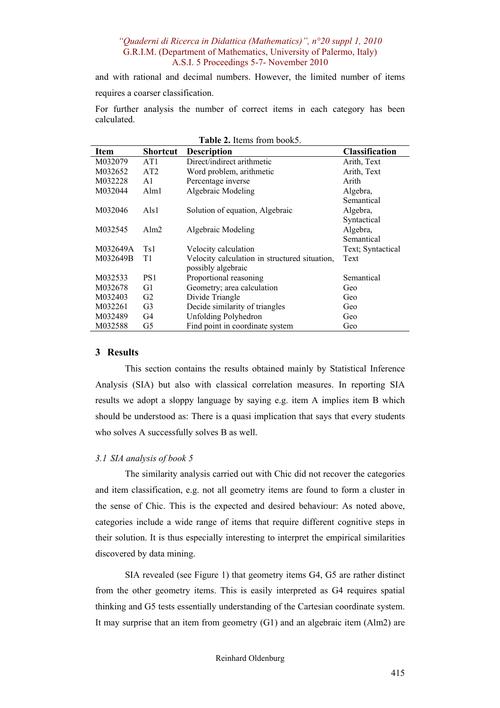and with rational and decimal numbers. However, the limited number of items requires a coarser classification.

For further analysis the number of correct items in each category has been calculated.

| Table 2. Items from book5. |                 |                                               |                       |  |  |
|----------------------------|-----------------|-----------------------------------------------|-----------------------|--|--|
| Item                       | <b>Shortcut</b> | <b>Description</b>                            | <b>Classification</b> |  |  |
| M032079                    | AT <sub>1</sub> | Direct/indirect arithmetic                    | Arith, Text           |  |  |
| M032652                    | AT2             | Word problem, arithmetic                      | Arith, Text           |  |  |
| M032228                    | A <sub>1</sub>  | Percentage inverse                            | Arith                 |  |  |
| M032044                    | Alm1            | Algebraic Modeling                            | Algebra,              |  |  |
|                            |                 |                                               | Semantical            |  |  |
| M032046                    | Also1           | Solution of equation, Algebraic               | Algebra,              |  |  |
|                            |                 |                                               | Syntactical           |  |  |
| M032545                    | Alm2            | Algebraic Modeling                            | Algebra,              |  |  |
|                            |                 |                                               | Semantical            |  |  |
| M032649A                   | Ts1             | Velocity calculation                          | Text; Syntactical     |  |  |
| M032649B                   | T1              | Velocity calculation in structured situation, | Text                  |  |  |
|                            |                 | possibly algebraic                            |                       |  |  |
| M032533                    | PS <sub>1</sub> | Proportional reasoning                        | Semantical            |  |  |
| M032678                    | G1              | Geometry; area calculation                    | Geo                   |  |  |
| M032403                    | G <sub>2</sub>  | Divide Triangle                               | Geo                   |  |  |
| M032261                    | G <sub>3</sub>  | Decide similarity of triangles                | Geo                   |  |  |
| M032489                    | G4              | <b>Unfolding Polyhedron</b>                   | Geo                   |  |  |
| M032588                    | G5              | Find point in coordinate system               | Geo                   |  |  |

#### **3 Results**

This section contains the results obtained mainly by Statistical Inference Analysis (SIA) but also with classical correlation measures. In reporting SIA results we adopt a sloppy language by saying e.g. item A implies item B which should be understood as: There is a quasi implication that says that every students who solves A successfully solves B as well.

# *3.1 SIA analysis of book 5*

The similarity analysis carried out with Chic did not recover the categories and item classification, e.g. not all geometry items are found to form a cluster in the sense of Chic. This is the expected and desired behaviour: As noted above, categories include a wide range of items that require different cognitive steps in their solution. It is thus especially interesting to interpret the empirical similarities discovered by data mining.

SIA revealed (see Figure 1) that geometry items G4, G5 are rather distinct from the other geometry items. This is easily interpreted as G4 requires spatial thinking and G5 tests essentially understanding of the Cartesian coordinate system. It may surprise that an item from geometry (G1) and an algebraic item (Alm2) are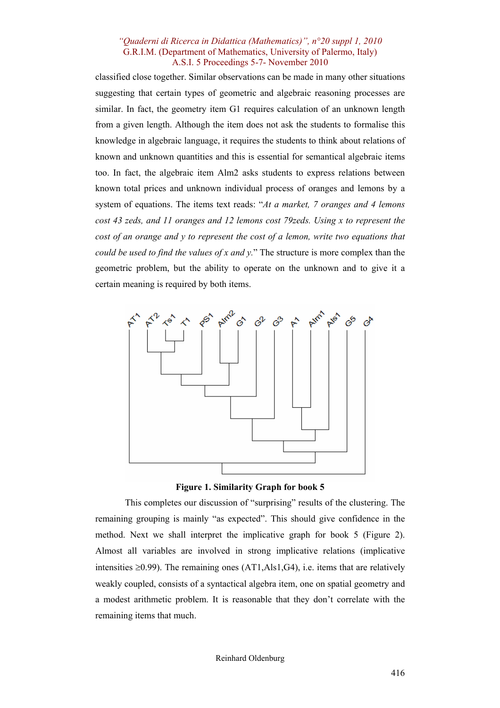classified close together. Similar observations can be made in many other situations suggesting that certain types of geometric and algebraic reasoning processes are similar. In fact, the geometry item G1 requires calculation of an unknown length from a given length. Although the item does not ask the students to formalise this knowledge in algebraic language, it requires the students to think about relations of known and unknown quantities and this is essential for semantical algebraic items too. In fact, the algebraic item Alm2 asks students to express relations between known total prices and unknown individual process of oranges and lemons by a system of equations. The items text reads: "*At a market, 7 oranges and 4 lemons cost 43 zeds, and 11 oranges and 12 lemons cost 79zeds. Using x to represent the cost of an orange and y to represent the cost of a lemon, write two equations that could be used to find the values of x and y.*" The structure is more complex than the geometric problem, but the ability to operate on the unknown and to give it a certain meaning is required by both items.



**Figure 1. Similarity Graph for book 5** 

This completes our discussion of "surprising" results of the clustering. The remaining grouping is mainly "as expected". This should give confidence in the method. Next we shall interpret the implicative graph for book 5 (Figure 2). Almost all variables are involved in strong implicative relations (implicative intensities  $\geq 0.99$ ). The remaining ones (AT1,Als1,G4), i.e. items that are relatively weakly coupled, consists of a syntactical algebra item, one on spatial geometry and a modest arithmetic problem. It is reasonable that they don't correlate with the remaining items that much.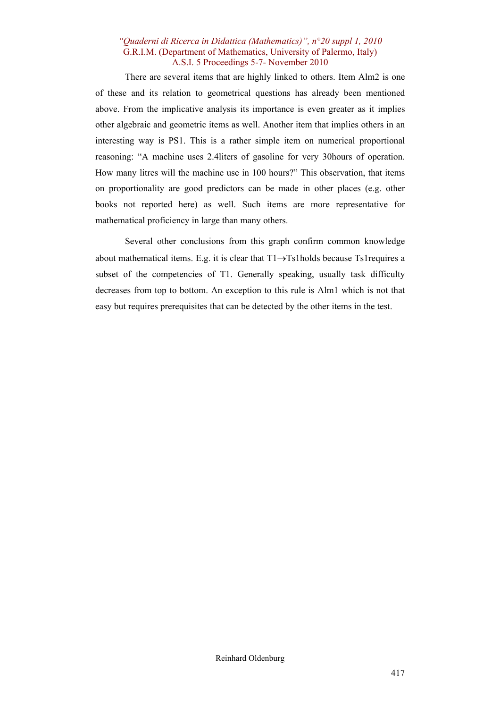There are several items that are highly linked to others. Item Alm2 is one of these and its relation to geometrical questions has already been mentioned above. From the implicative analysis its importance is even greater as it implies other algebraic and geometric items as well. Another item that implies others in an interesting way is PS1. This is a rather simple item on numerical proportional reasoning: "A machine uses 2.4liters of gasoline for very 30hours of operation. How many litres will the machine use in 100 hours?" This observation, that items on proportionality are good predictors can be made in other places (e.g. other books not reported here) as well. Such items are more representative for mathematical proficiency in large than many others.

Several other conclusions from this graph confirm common knowledge about mathematical items. E.g. it is clear that T1→Ts1holds because Ts1requires a subset of the competencies of T1. Generally speaking, usually task difficulty decreases from top to bottom. An exception to this rule is Alm1 which is not that easy but requires prerequisites that can be detected by the other items in the test.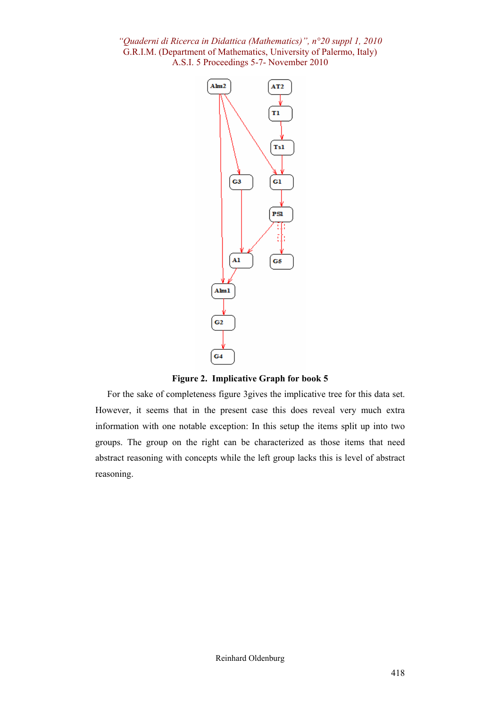

**Figure 2. Implicative Graph for book 5** 

For the sake of completeness figure 3gives the implicative tree for this data set. However, it seems that in the present case this does reveal very much extra information with one notable exception: In this setup the items split up into two groups. The group on the right can be characterized as those items that need abstract reasoning with concepts while the left group lacks this is level of abstract reasoning.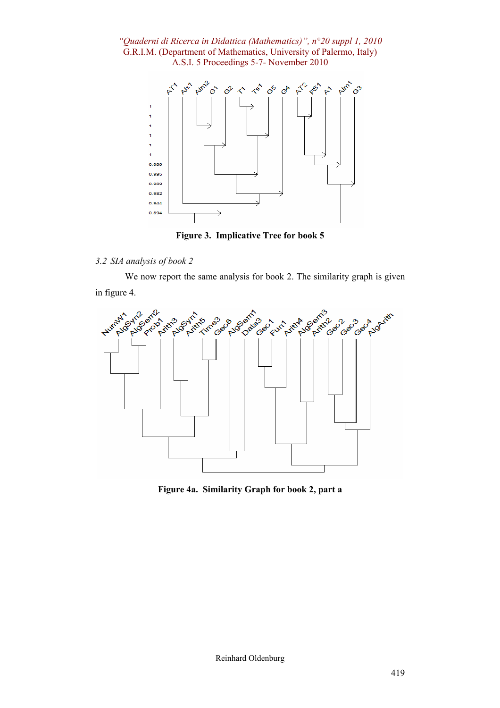

**Figure 3. Implicative Tree for book 5** 

# *3.2 SIA analysis of book 2*

We now report the same analysis for book 2. The similarity graph is given in figure 4.



**Figure 4a. Similarity Graph for book 2, part a**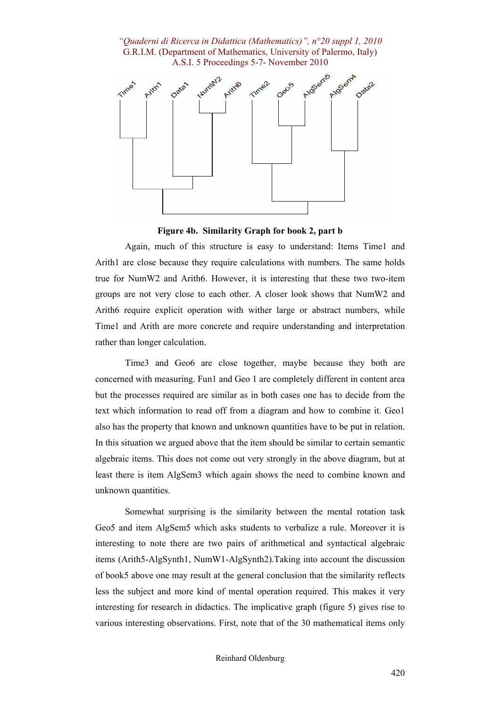

#### **Figure 4b. Similarity Graph for book 2, part b**

Again, much of this structure is easy to understand: Items Time1 and Arith1 are close because they require calculations with numbers. The same holds true for NumW2 and Arith6. However, it is interesting that these two two-item groups are not very close to each other. A closer look shows that NumW2 and Arith6 require explicit operation with wither large or abstract numbers, while Time1 and Arith are more concrete and require understanding and interpretation rather than longer calculation.

Time3 and Geo6 are close together, maybe because they both are concerned with measuring. Fun1 and Geo 1 are completely different in content area but the processes required are similar as in both cases one has to decide from the text which information to read off from a diagram and how to combine it. Geo1 also has the property that known and unknown quantities have to be put in relation. In this situation we argued above that the item should be similar to certain semantic algebraic items. This does not come out very strongly in the above diagram, but at least there is item AlgSem3 which again shows the need to combine known and unknown quantities.

Somewhat surprising is the similarity between the mental rotation task Geo5 and item AlgSem5 which asks students to verbalize a rule. Moreover it is interesting to note there are two pairs of arithmetical and syntactical algebraic items (Arith5-AlgSynth1, NumW1-AlgSynth2).Taking into account the discussion of book5 above one may result at the general conclusion that the similarity reflects less the subject and more kind of mental operation required. This makes it very interesting for research in didactics. The implicative graph (figure 5) gives rise to various interesting observations. First, note that of the 30 mathematical items only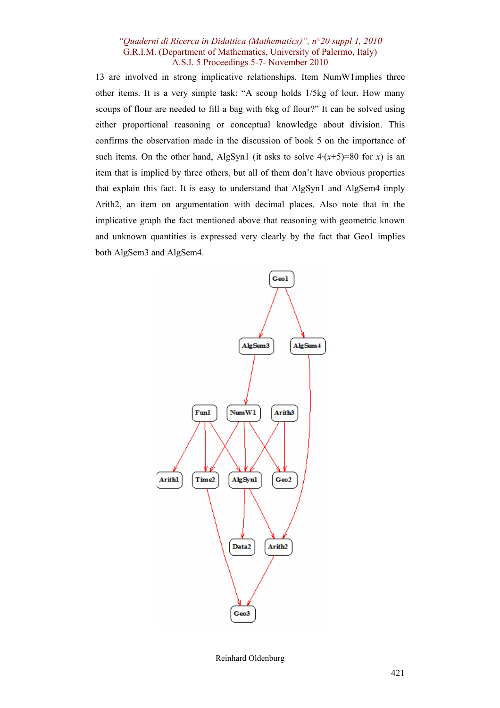13 are involved in strong implicative relationships. Item NumW1implies three other items. It is a very simple task: "A scoup holds 1/5kg of lour. How many scoups of flour are needed to fill a bag with 6kg of flour?" It can be solved using either proportional reasoning or conceptual knowledge about division. This confirms the observation made in the discussion of book 5 on the importance of such items. On the other hand, AlgSyn1 (it asks to solve  $4 \cdot (x+5)=80$  for *x*) is an item that is implied by three others, but all of them don't have obvious properties that explain this fact. It is easy to understand that AlgSyn1 and AlgSem4 imply Arith2, an item on argumentation with decimal places. Also note that in the implicative graph the fact mentioned above that reasoning with geometric known and unknown quantities is expressed very clearly by the fact that Geo1 implies both AlgSem3 and AlgSem4.



Reinhard Oldenburg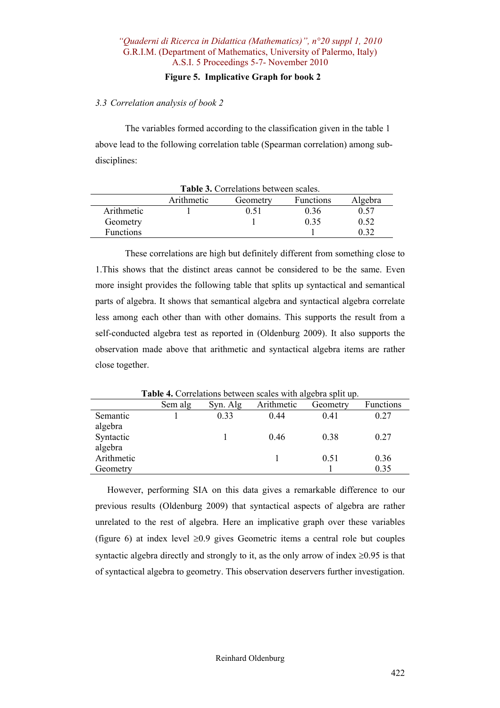## **Figure 5. Implicative Graph for book 2**

## *3.3 Correlation analysis of book 2*

The variables formed according to the classification given in the table 1 above lead to the following correlation table (Spearman correlation) among subdisciplines:

| Table 3. Correlations between scales. |            |          |                  |         |  |  |  |
|---------------------------------------|------------|----------|------------------|---------|--|--|--|
|                                       | Arithmetic | Geometry | <b>Functions</b> | Algebra |  |  |  |
| Arithmetic                            |            | 0.51     | 0 36             | 0.57    |  |  |  |
| Geometry                              |            |          | 0.35             | 0.52    |  |  |  |
| <b>Functions</b>                      |            |          |                  |         |  |  |  |

These correlations are high but definitely different from something close to 1.This shows that the distinct areas cannot be considered to be the same. Even more insight provides the following table that splits up syntactical and semantical parts of algebra. It shows that semantical algebra and syntactical algebra correlate less among each other than with other domains. This supports the result from a self-conducted algebra test as reported in (Oldenburg 2009). It also supports the observation made above that arithmetic and syntactical algebra items are rather close together.

|            | Sem alg | Syn. Alg | Arithmetic | Geometry | <b>Functions</b> |
|------------|---------|----------|------------|----------|------------------|
| Semantic   |         | 0.33     | 0.44       | 0.41     | 0.27             |
| algebra    |         |          |            |          |                  |
| Syntactic  |         |          | 0.46       | 0.38     | 0.27             |
| algebra    |         |          |            |          |                  |
| Arithmetic |         |          |            | 0.51     | 0.36             |
| Geometry   |         |          |            |          | 0.35             |

**Table 4.** Correlations between scales with algebra split up.

However, performing SIA on this data gives a remarkable difference to our previous results (Oldenburg 2009) that syntactical aspects of algebra are rather unrelated to the rest of algebra. Here an implicative graph over these variables (figure 6) at index level  $\geq 0.9$  gives Geometric items a central role but couples syntactic algebra directly and strongly to it, as the only arrow of index  $\geq 0.95$  is that of syntactical algebra to geometry. This observation deservers further investigation.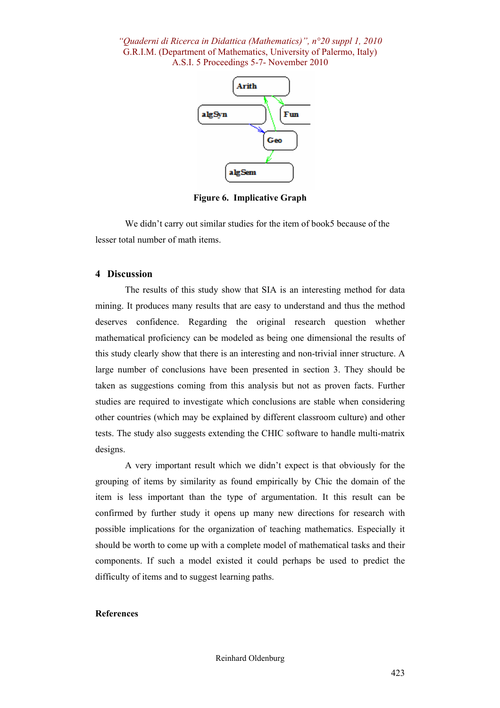

**Figure 6. Implicative Graph** 

We didn't carry out similar studies for the item of book5 because of the lesser total number of math items.

#### **4 Discussion**

The results of this study show that SIA is an interesting method for data mining. It produces many results that are easy to understand and thus the method deserves confidence. Regarding the original research question whether mathematical proficiency can be modeled as being one dimensional the results of this study clearly show that there is an interesting and non-trivial inner structure. A large number of conclusions have been presented in section 3. They should be taken as suggestions coming from this analysis but not as proven facts. Further studies are required to investigate which conclusions are stable when considering other countries (which may be explained by different classroom culture) and other tests. The study also suggests extending the CHIC software to handle multi-matrix designs.

A very important result which we didn't expect is that obviously for the grouping of items by similarity as found empirically by Chic the domain of the item is less important than the type of argumentation. It this result can be confirmed by further study it opens up many new directions for research with possible implications for the organization of teaching mathematics. Especially it should be worth to come up with a complete model of mathematical tasks and their components. If such a model existed it could perhaps be used to predict the difficulty of items and to suggest learning paths.

#### **References**